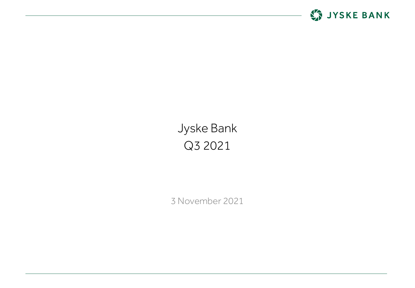

# Jyske Bank Q3 2021

3 November 2021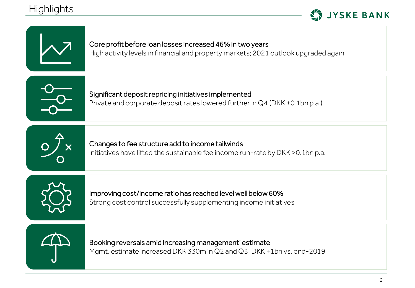## **Highlights**



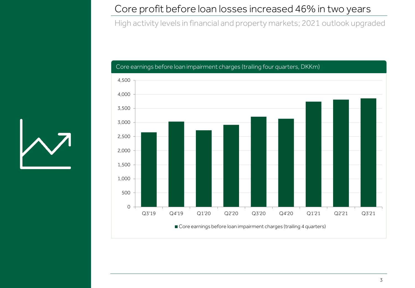### Core profit before loan losses increased 46% in two years

High activity levels in financial and property markets; 2021 outlook upgraded



#### Core earnings before loan impairment charges (trailing four quarters, DKKm)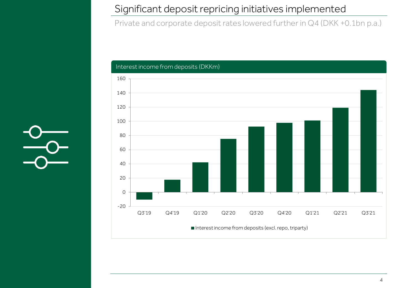## Significant deposit repricing initiatives implemented

Private and corporate deposit rates lowered further in Q4 (DKK +0.1bn p.a.)



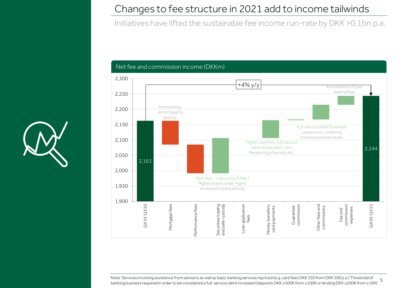## Changes to fee structure in 2021 add to income tailwinds

Initiatives have lifted the sustainable fee income run-rate by DKK >0.1bn p.a.





note: Services involving assistance from advisors as well as basic banking services repriced (e.g. card fees DKK 300 K from 200 K.a.) Threshold of S<br>banking business required in order to be considered a full-service clien Note: Services involving assistance from advisors as well as basic banking services repriced (e.g. card fees DKK 350 from DKK 200 p.a.) Threshold of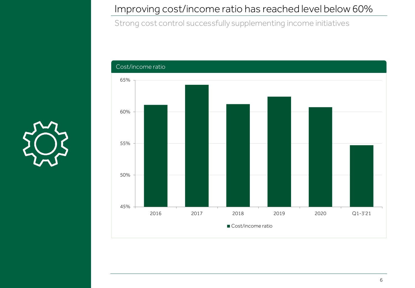## Improving cost/income ratio has reached level below 60%

Strong cost control successfully supplementing income initiatives



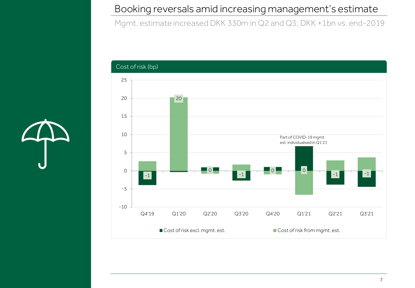## Booking reversals amid increasing management's estimate

Mgmt. estimate increased DKK 330m in Q2 and Q3; DKK +1bn vs. end-2019



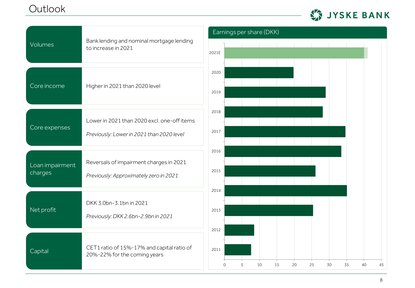## **Outlook**



| Volumes                    | Bank lending and nominal mortgage lending<br>to increase in 2021                         | Earnings per share (DKK)                                              |  |  |  |  |  |  |
|----------------------------|------------------------------------------------------------------------------------------|-----------------------------------------------------------------------|--|--|--|--|--|--|
|                            |                                                                                          | 2021E                                                                 |  |  |  |  |  |  |
| Core income                | Higher in 2021 than 2020 level                                                           | 2020<br>2019                                                          |  |  |  |  |  |  |
| Core expenses              | Lower in 2021 than 2020 excl. one-off items<br>Previously: Lower in 2021 than 2020 level | 2018<br>2017                                                          |  |  |  |  |  |  |
| Loan impairment<br>charges | Reversals of impairment charges in 2021<br>Previously: Approximately zero in 2021        | 2016<br>2015                                                          |  |  |  |  |  |  |
| Net profit                 | DKK 3.0bn-3.1bn in 2021<br>Previously: DKK 2.6bn-2.9bn in 2021                           | 2014<br>2013<br>2012                                                  |  |  |  |  |  |  |
| Capital                    | CET1 ratio of 15%-17% and capital ratio of<br>20%-22% for the coming years               | 2011<br>5<br>10<br>20<br>25<br>30<br>15<br>35<br>40<br>45<br>$\Omega$ |  |  |  |  |  |  |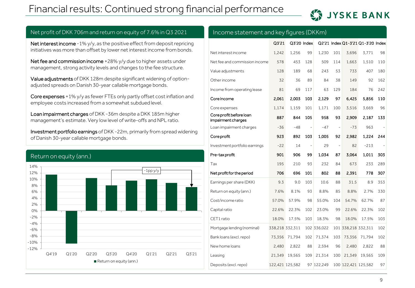## Financial results: Continued strong financial performance

## **LA JYSKE BANK**

#### of Danish 30-year callable mortgage bonds. Return on equity (ann.) -12% -10% -8% -6%  $-4%$ -2% 0% 2% 4% 6% 8% 10% 12% 14% Q4'19 Q1'20 Q2'20 Q3'20 Q4'20 Q1'21 Q2'21 Q3'21 -1pp y/y Return on equity (ann.)

Net interest income -1% y/y, as the positive effect from deposit repricing initiatives was more than offset by lower net interest income from bonds.

Net profit of DKK 706m and return on equity of 7.6% in Q3 2021

Net fee and commission income +28% y/y due to higher assets under management, strong activity levels and changes to the fee structure.

Value adjustments of DKK 128m despite significant widening of option-

Core expenses +1% y/y as fewer FTEs only partly offset cost inflation and

Investment portfolio earnings of DKK -22m, primarily from spread widening

Loan impairment charges of DKK -36m despite a DKK 185m higher management's estimate. Very low level of write-offs and NPL ratio.

adjusted spreads on Danish 30-year callable mortgage bonds.

employee costs increased from a somewhat subdued level.

#### Income statement and key figures (DKKm)

|                                               | Q3'21           |        | Q3'20 Index |             |     |                     | Q2'21 Index Q1-3'21 Q1-3'20 Index |     |
|-----------------------------------------------|-----------------|--------|-------------|-------------|-----|---------------------|-----------------------------------|-----|
| Net interest income                           | 1,242           | 1,256  | 99          | 1,230       | 101 | 3,696               | 3,771                             | 98  |
| Net fee and commission income                 | 578             | 453    | 128         | 509         | 114 | 1,663               | 1,510                             | 110 |
| Value adjustments                             | 128             | 189    | 68          | 243         | 53  | 733                 | 407                               | 180 |
| Other income                                  | 32              | 36     | 89          | 84          | 38  | 149                 | 92                                | 162 |
| Income from operating lease                   | 81              | 69     | 117         | 63          | 129 | 184                 | 76                                | 242 |
| Core income                                   | 2,061           | 2.003  | 103         | 2.129       | 97  | 6.425               | 5,856                             | 110 |
| Core expenses                                 | 1,174           | 1,159  | 101         | 1,171       | 100 | 3,516               | 3,669                             | 96  |
| Core profit before loan<br>impairment charges | 887             | 844    | 105         | 958         | 93  | 2.909               | 2,187                             | 133 |
| Loan impairment charges                       | $-36$           | $-48$  |             | $-47$       | ÷,  | $-73$               | 963                               |     |
| Core profit                                   | 923             | 892    | 103         | 1.005       | 92  | 2.982               | 1.224                             | 244 |
| Investment portfolio earnings                 | $-22$           | 14     | ÷,          | 29          | ÷,  | 82                  | $-213$                            |     |
| Pre-tax profit                                | 901             | 906    | 99          | 1.034       | 87  | 3,064               | 1,011                             | 303 |
| Tax                                           | 195             | 210    | 93          | 232         | 84  | 673                 | 233                               | 289 |
| Net profit for the period                     | 706             | 696    | 101         | 802         | 88  | 2.391               | 778                               | 307 |
| Earnings per share (DKK)                      | 9.3             | 9.0    | 103         | 10.6        | 88  | 31.5                | 8.9                               | 353 |
| Return on equity (ann.)                       | 7.6%            | 8.1%   | 93          | 8.8%        | 85  | 8.8%                | 2.7%                              | 330 |
| Cost/income ratio                             | 57.0%           | 57.9%  | 98          | 55.0%       | 104 | 54.7%               | 62.7%                             | 87  |
| Capital ratio                                 | 22.6%           | 22.3%  | 102         | 23.0%       | 99  | 22.6%               | 22.3%                             | 102 |
| CET1 ratio                                    | 18.0%           | 17.5%  | 103         | 18.3%       | 98  | 18.0%               | 17.5%                             | 103 |
| Mortgage lending (nominal)                    | 338,218 332,311 |        |             | 102 336,022 |     | 101 338,218 332,311 |                                   | 102 |
| Bank loans (excl. repo)                       | 73,356          | 71,794 | 102         | 71,374      | 103 | 73,356              | 71,794                            | 102 |
| New home loans                                | 2,480           | 2,822  | 88          | 2,594       | 96  | 2,480               | 2,822                             | 88  |
| Leasing                                       | 21.349          | 19.565 | 109         | 21.314      | 100 | 21.349              | 19.565                            | 109 |
| Deposits (excl. repo)                         | 122,421 125,582 |        |             | 97 122,249  |     | 100 122,421 125,582 |                                   | 97  |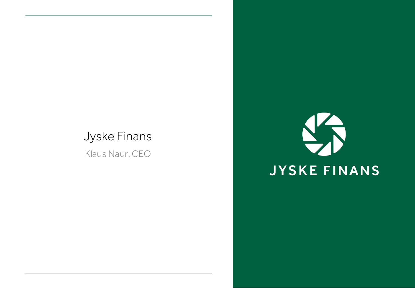## Jyske Finans

Klaus Naur, CEO

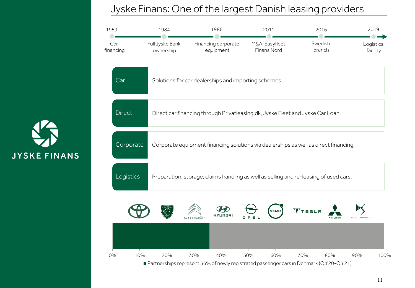## Jyske Finans: One of the largest Danish leasing providers



**JYSKE FINANS**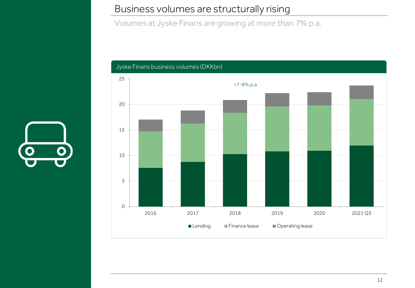### Business volumes are structurally rising

Volumes at Jyske Finans are growing at more than 7% p.a.



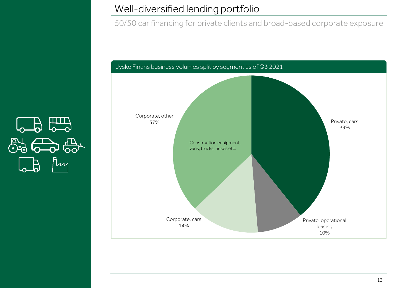## Well-diversified lending portfolio

50/50 car financing for private clients and broad-based corporate exposure

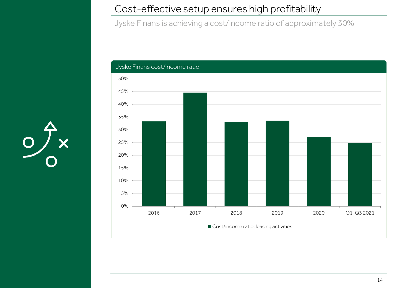## Cost-effective setup ensures high profitability

Jyske Finans is achieving a cost/income ratio of approximately 30%